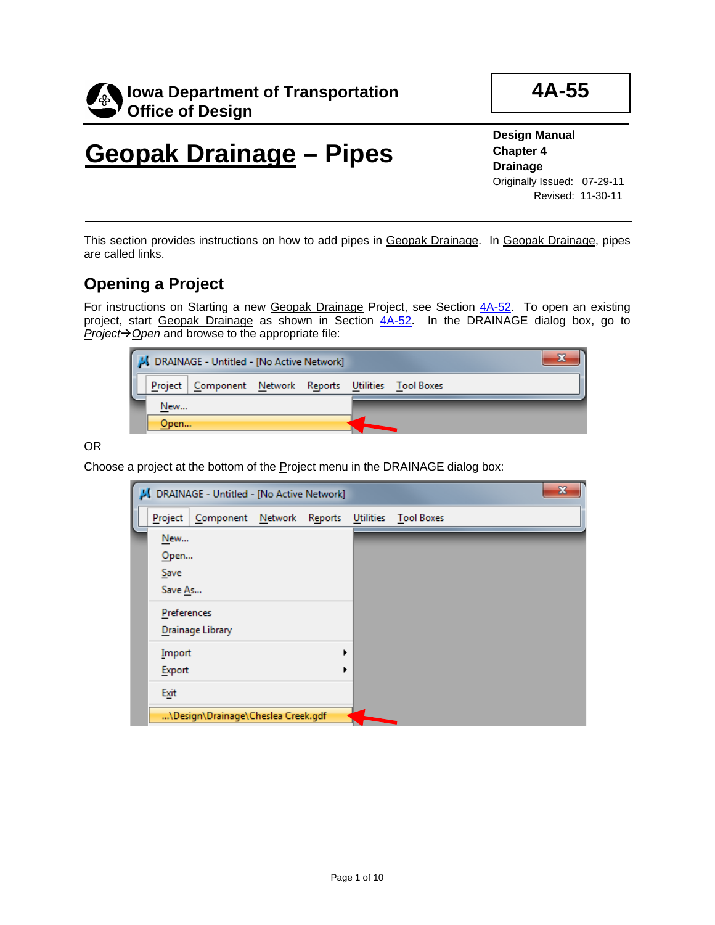

**4A-55**

# **Geopak Drainage – Pipes**

**Design Manual Chapter 4 Drainage** Originally Issued: 07-29-11 Revised: 11-30-11

This section provides instructions on how to add pipes in Geopak Drainage. In Geopak Drainage, pipes are called links.

## **Opening a Project**

For instructions on Starting a new Geopak Drainage Project, see Section 4A-52. To open an existing project, start Geopak Drainage as shown in Section 4A-52. In the DRAINAGE dialog box, go to *Project* $\rightarrow$  *<u>O</u>pen* and browse to the appropriate file:

| J DRAINAGE - Untitled - [No Active Network] |      |                                                        |  |  |  |  |  |  |
|---------------------------------------------|------|--------------------------------------------------------|--|--|--|--|--|--|
|                                             |      | Project Component Network Reports Utilities Tool Boxes |  |  |  |  |  |  |
|                                             | New  |                                                        |  |  |  |  |  |  |
|                                             | Open |                                                        |  |  |  |  |  |  |

OR

Choose a project at the bottom of the Project menu in the DRAINAGE dialog box:

|                                   | J DRAINAGE - Untitled - [No Active Network] |  |                      | x |
|-----------------------------------|---------------------------------------------|--|----------------------|---|
| Project                           | Component Network Reports                   |  | Utilities Tool Boxes |   |
| New<br>$O$ pen<br>Save<br>Save As |                                             |  |                      |   |
| Preferences                       | Drainage Library                            |  |                      |   |
| Import<br>Export                  |                                             |  |                      |   |
| Exit                              |                                             |  |                      |   |
|                                   | \Design\Drainage\Cheslea Creek.gdf          |  |                      |   |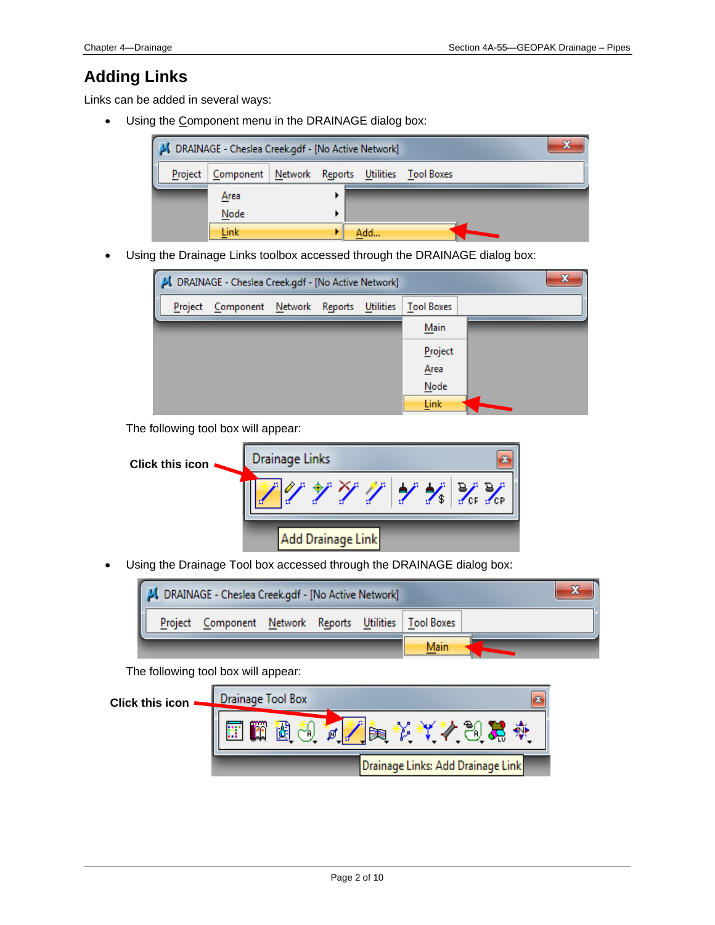## **Adding Links**

Links can be added in several ways:

• Using the Component menu in the DRAINAGE dialog box:



• Using the Drainage Links toolbox accessed through the DRAINAGE dialog box:



The following tool box will appear:

| Click this icon . | Drainage Links                                                         |
|-------------------|------------------------------------------------------------------------|
|                   | アンテリング<br>$\boldsymbol{1} \times \boldsymbol{2} \times \boldsymbol{2}$ |
|                   | Add Drainage Link                                                      |

• Using the Drainage Tool box accessed through the DRAINAGE dialog box:

| DRAINAGE - Cheslea Creek.gdf - [No Active Network] |  |                                                        |  |  |  |      |  |
|----------------------------------------------------|--|--------------------------------------------------------|--|--|--|------|--|
|                                                    |  | Project Component Network Reports Utilities Tool Boxes |  |  |  |      |  |
|                                                    |  |                                                        |  |  |  | Main |  |

The following tool box will appear:

| <b>Click this icon</b> | <b>Drainage Tool Box</b>          |   |
|------------------------|-----------------------------------|---|
|                        | Ø                                 | œ |
|                        | Drainage Links: Add Drainage Link |   |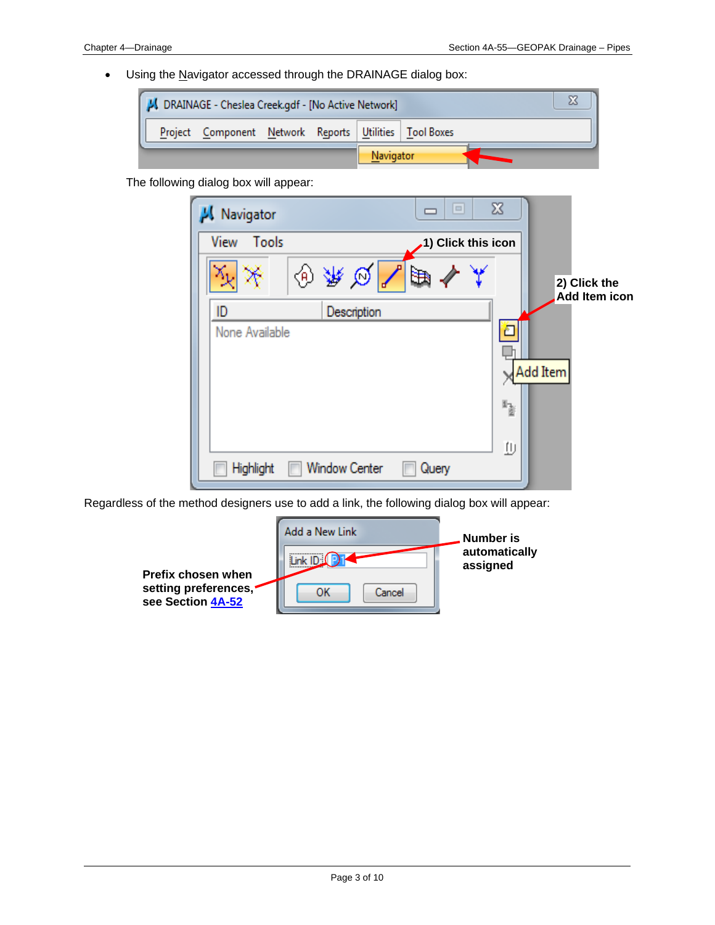• Using the Navigator accessed through the DRAINAGE dialog box:



The following dialog box will appear:

| Navigator      |                      | $\Box$             | $\boldsymbol{\Sigma}$ |                               |
|----------------|----------------------|--------------------|-----------------------|-------------------------------|
| Tools<br>View  |                      | 1) Click this icon |                       |                               |
| ◈              | ₩<br>$\varnothing$   | ਖ਼ਿ                |                       | 2) Click the<br>Add Item icon |
| ID             | Description          |                    |                       |                               |
| None Available |                      |                    |                       | Add Item                      |
|                |                      |                    | 4                     |                               |
|                |                      |                    | Φ                     |                               |
| Highlight      | <b>Window Center</b> | Query              |                       |                               |

Regardless of the method designers use to add a link, the following dialog box will appear:

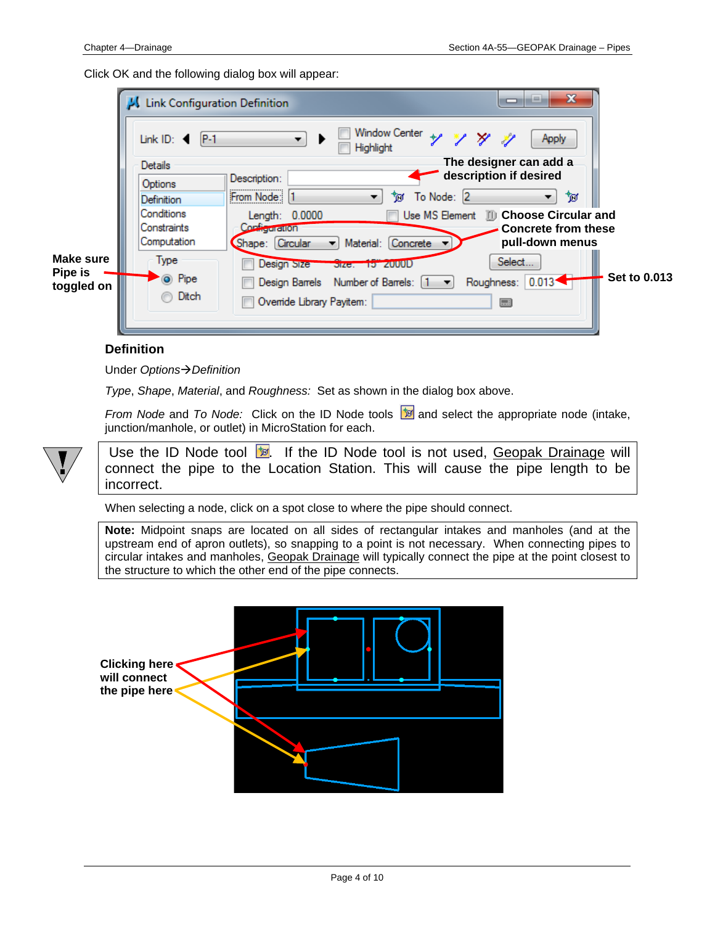Click OK and the following dialog box will appear:

|                       | Link Configuration Definition          | x<br>÷<br>▭                                                     |                     |
|-----------------------|----------------------------------------|-----------------------------------------------------------------|---------------------|
|                       | $P-1$<br>Link ID: $\blacktriangleleft$ | <b>Window Center</b><br>ソンナ<br>Apply<br>▼<br>Highlight          |                     |
|                       | Details                                | The designer can add a                                          |                     |
|                       | Options                                | description if desired<br>Description:                          |                     |
|                       | Definition                             | From Node: 1<br>To Node: 2<br>ঁচা<br>″⊠′                        |                     |
|                       | Conditions                             | Use MS Element III Choose Circular and<br>Length: 0.0000        |                     |
|                       | Constraints                            | Configuration<br><b>Concrete from these</b>                     |                     |
|                       | Computation                            | pull-down menus<br>Material: Concrete<br>Shape: Circular        |                     |
| Make sure             | Type                                   | Select<br>Design Size<br>Size. 15 2000D                         |                     |
| Pipe is<br>toggled on | O Pipe                                 | $0.013 -$<br>Design Barrels Number of Barrels: [1<br>Roughness: | <b>Set to 0.013</b> |
|                       | Ditch                                  | Ovenide Library Payitem:<br>□□                                  |                     |
|                       |                                        |                                                                 |                     |
|                       |                                        |                                                                 |                     |

#### **Definition**

Under *OptionsDefinition*

*Type*, *Shape*, *Material*, and *Roughness:* Set as shown in the dialog box above.

*From Node* and *To Node:* Click on the ID Node tools **a** and select the appropriate node (intake, junction/manhole, or outlet) in MicroStation for each.



Use the ID Node tool **b**. If the ID Node tool is not used, Geopak Drainage will connect the pipe to the Location Station. This will cause the pipe length to be incorrect.

When selecting a node, click on a spot close to where the pipe should connect.

**Note:** Midpoint snaps are located on all sides of rectangular intakes and manholes (and at the upstream end of apron outlets), so snapping to a point is not necessary. When connecting pipes to circular intakes and manholes, Geopak Drainage will typically connect the pipe at the point closest to the structure to which the other end of the pipe connects.

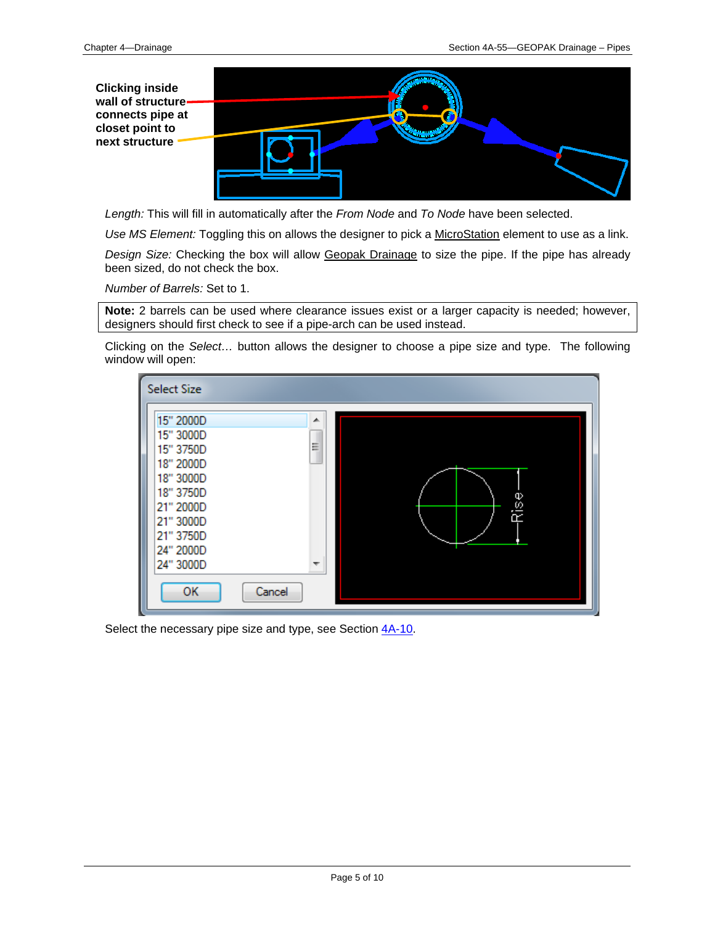**Clicking inside wall of structure connects pipe at closet point to next structure**



*Length:* This will fill in automatically after the *From Node* and *To Node* have been selected.

*Use MS Element:* Toggling this on allows the designer to pick a MicroStation element to use as a link.

*Design Size:* Checking the box will allow Geopak Drainage to size the pipe. If the pipe has already been sized, do not check the box.

*Number of Barrels:* Set to 1.

**Note:** 2 barrels can be used where clearance issues exist or a larger capacity is needed; however, designers should first check to see if a pipe-arch can be used instead.

Clicking on the *Select…* button allows the designer to choose a pipe size and type. The following window will open:



Select the necessary pipe size and type, see Section  $4A-10$ .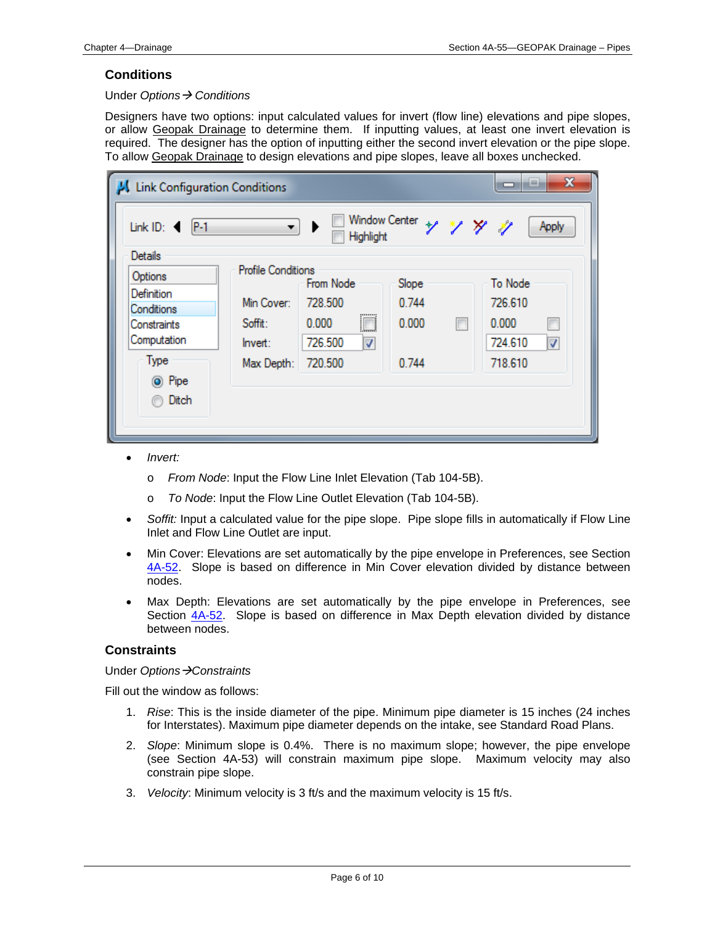#### **Conditions**

#### Under *Options Conditions*

Designers have two options: input calculated values for invert (flow line) elevations and pipe slopes, or allow Geopak Drainage to determine them. If inputting values, at least one invert elevation is required. The designer has the option of inputting either the second invert elevation or the pipe slope. To allow Geopak Drainage to design elevations and pipe slopes, leave all boxes unchecked.

| $\mathbf{x}$<br>a m<br>Link Configuration Conditions<br>▭                                           |                                                                             |                                                               |                                  |                          |                                                                          |  |  |  |
|-----------------------------------------------------------------------------------------------------|-----------------------------------------------------------------------------|---------------------------------------------------------------|----------------------------------|--------------------------|--------------------------------------------------------------------------|--|--|--|
| Link ID:<br>$P-1$                                                                                   | ▾┆                                                                          | Window Center<br>Highlight                                    |                                  | ソングッ                     | Apply                                                                    |  |  |  |
| <b>Details</b>                                                                                      |                                                                             |                                                               |                                  |                          |                                                                          |  |  |  |
| Options<br>Definition<br>Conditions<br>Constraints<br>Computation<br>Type<br><b>◎</b> Pipe<br>Ditch | <b>Profile Conditions</b><br>Min Cover:<br>Soffit:<br>Invert:<br>Max Depth: | From Node<br>728,500<br>圓<br>0.000<br>726.500<br>⊽<br>720.500 | Slope<br>0.744<br>0.000<br>0.744 | $\overline{\phantom{a}}$ | To Node<br>726.610<br>0.000<br>$\blacksquare$<br>724.610<br>⊽<br>718.610 |  |  |  |

- *Invert:*
	- o *From Node*: Input the Flow Line Inlet Elevation (Tab 104-5B).
	- o *To Node*: Input the Flow Line Outlet Elevation (Tab 104-5B).
- *Soffit:* Input a calculated value for the pipe slope. Pipe slope fills in automatically if Flow Line Inlet and Flow Line Outlet are input.
- Min Cover: Elevations are set automatically by the pipe envelope in Preferences, see Section 4A-52. Slope is based on difference in Min Cover elevation divided by distance between nodes.
- Max Depth: Elevations are set automatically by the pipe envelope in Preferences, see Section  $4A-52$ . Slope is based on difference in Max Depth elevation divided by distance between nodes.

#### **Constraints**

Under *OptionsConstraints*

Fill out the window as follows:

- 1. *Rise*: This is the inside diameter of the pipe. Minimum pipe diameter is 15 inches (24 inches for Interstates). Maximum pipe diameter depends on the intake, see Standard Road Plans.
- 2. *Slope*: Minimum slope is 0.4%. There is no maximum slope; however, the pipe envelope (see Section 4A-53) will constrain maximum pipe slope. Maximum velocity may also constrain pipe slope.
- 3. *Velocity*: Minimum velocity is 3 ft/s and the maximum velocity is 15 ft/s.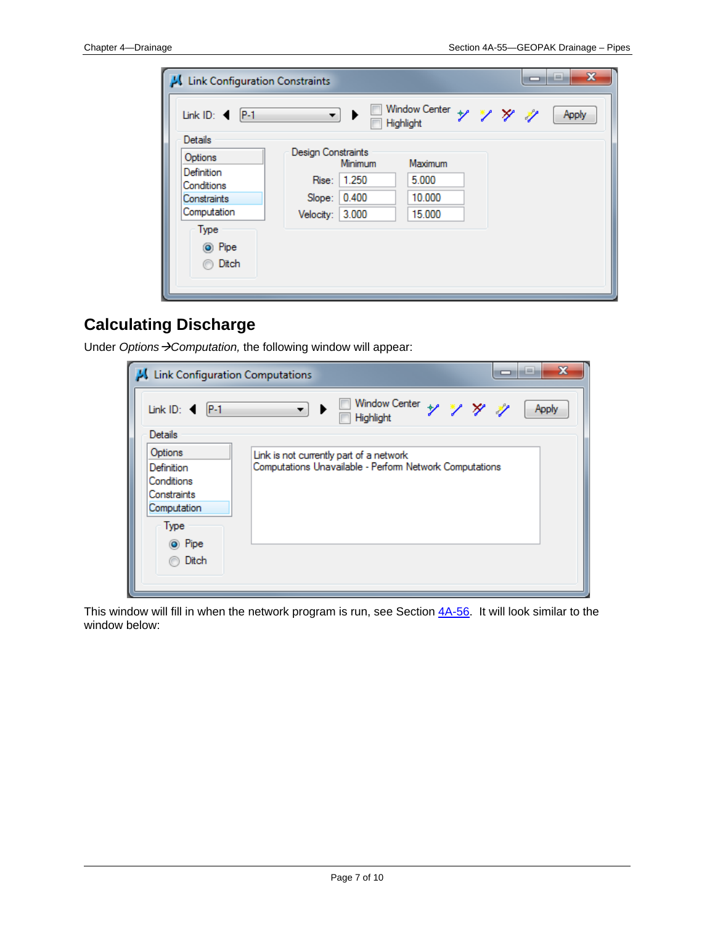| Link Configuration Constraints                                                               |                                                 |                                 |                                      | 0 | x<br>$-1$ |
|----------------------------------------------------------------------------------------------|-------------------------------------------------|---------------------------------|--------------------------------------|---|-----------|
| Link ID: $\blacktriangleleft$ P-1                                                            | ▾┆                                              |                                 | Window Center + * / * /<br>Highlight |   | Apply     |
| <b>Details</b>                                                                               |                                                 |                                 |                                      |   |           |
| Options<br>Definition<br>Conditions<br>Constraints<br>Computation<br>Type<br>◎ Pipe<br>Ditch | Design Constraints<br>Slope:<br>Velocity: 3.000 | Minimum<br>Rise: 1.250<br>0.400 | Maximum<br>5.000<br>10.000<br>15,000 |   |           |

# **Calculating Discharge**

Under Options > Computation, the following window will appear:

| Link Configuration Computations                                                            | $\mathbf x$<br>$-1$                                                                                |
|--------------------------------------------------------------------------------------------|----------------------------------------------------------------------------------------------------|
| Link ID: $\blacktriangleleft$<br>$P-1$                                                     | Window Center + 1 1/ 2/<br>Apply<br>۰.<br>Highlight                                                |
| Details                                                                                    |                                                                                                    |
| Options<br>Definition<br>Conditions<br>Constraints<br>Computation<br>Type<br><b>◎</b> Pipe | Link is not currently part of a network<br>Computations Unavailable - Perform Network Computations |
| Ditch                                                                                      |                                                                                                    |

This window will fill in when the network program is run, see Section 4A-56. It will look similar to the window below: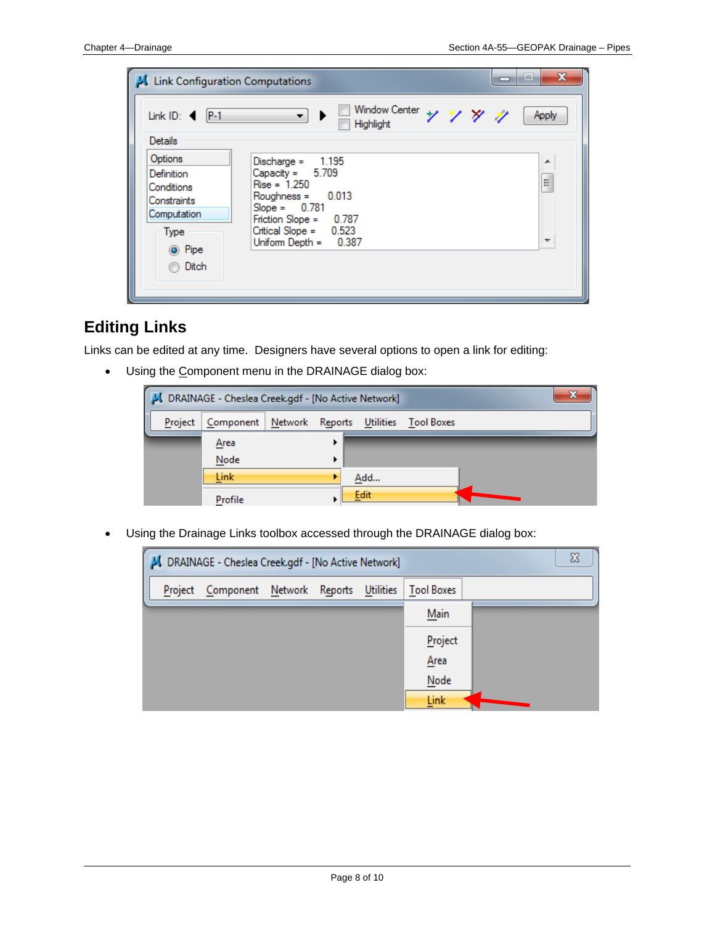| Link Configuration Computations                                                              | ▭                                                                                                                                                                                      | x<br>--     |
|----------------------------------------------------------------------------------------------|----------------------------------------------------------------------------------------------------------------------------------------------------------------------------------------|-------------|
| Link ID: $\blacktriangleleft$   P-1<br>Details                                               | Window Center + 1 1/ X<br>▾┆<br>Highlight                                                                                                                                              | Apply       |
| Options<br>Definition<br>Conditions<br>Constraints<br>Computation<br>Type<br>O Pipe<br>Ditch | Discharge = 1.195<br>Capacity = $5.709$<br>$Rise = 1.250$<br>$Roughness = 0.013$<br>$Slope = 0.781$<br>Friction Slope = $0.787$<br>Critical Slope = $0.523$<br>Uniform Depth = $0.387$ | ▲<br>E<br>٠ |

### **Editing Links**

Links can be edited at any time. Designers have several options to open a link for editing:

• Using the Component menu in the DRAINAGE dialog box:



Using the Drainage Links toolbox accessed through the DRAINAGE dialog box:

| x<br>J DRAINAGE - Cheslea Creek.gdf - [No Active Network] |                                     |  |  |  |                   |  |  |  |
|-----------------------------------------------------------|-------------------------------------|--|--|--|-------------------|--|--|--|
| Project                                                   | Component Network Reports Utilities |  |  |  | <b>Tool Boxes</b> |  |  |  |
|                                                           |                                     |  |  |  | Main              |  |  |  |
|                                                           |                                     |  |  |  | Project           |  |  |  |
|                                                           |                                     |  |  |  | Area              |  |  |  |
|                                                           |                                     |  |  |  | Node              |  |  |  |
|                                                           |                                     |  |  |  | Link              |  |  |  |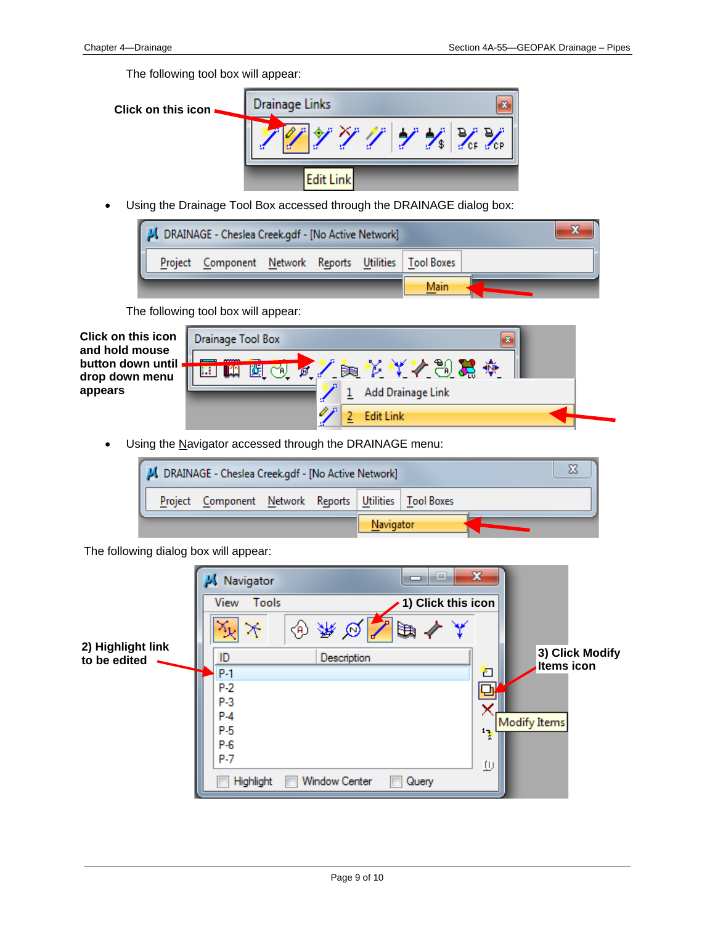The following tool box will appear:

**Click on this icon**

• Using the Drainage Tool Box accessed through the DRAINAGE dialog box:



The following tool box will appear:

| <b>Click on this icon</b><br>and hold mouse | Drainage Tool Box<br>$\mathbf{z}$   |  |
|---------------------------------------------|-------------------------------------|--|
| button down until<br>drop down menu         | ₩<br>Æ.<br>Þ₩<br>YA).<br>Œ<br>偭<br> |  |
| appears                                     | Add Drainage Link                   |  |
|                                             | R<br><b>Edit Link</b>               |  |

• Using the Navigator accessed through the DRAINAGE menu:

| JU DRAINAGE - Cheslea Creek.gdf - [No Active Network] |                                                          |  |  |  |  |  |  |
|-------------------------------------------------------|----------------------------------------------------------|--|--|--|--|--|--|
|                                                       | Project Component Network Reports Utilities   Tool Boxes |  |  |  |  |  |  |
| Navigator                                             |                                                          |  |  |  |  |  |  |

The following dialog box will appear:

|                   | Navigator      | ie.<br>⊐                      | $\mathbf{x}$       |                                      |
|-------------------|----------------|-------------------------------|--------------------|--------------------------------------|
|                   | View<br>Tools  |                               | 1) Click this icon |                                      |
| 2) Highlight link | Æ              | l₩                            |                    |                                      |
| to be edited      | ID             | Description                   |                    | 3) Click Modify<br><b>Items icon</b> |
|                   | $P-1$          |                               | Ł                  |                                      |
|                   | $P-2$          |                               |                    |                                      |
|                   | $P-3$<br>$P-4$ |                               |                    |                                      |
|                   | $P-5$          |                               |                    | Modify Items                         |
|                   | $P-6$          |                               | 17                 |                                      |
|                   | $P-7$          |                               |                    |                                      |
|                   | Highlight      | <b>Window Center</b><br>Query | 业                  |                                      |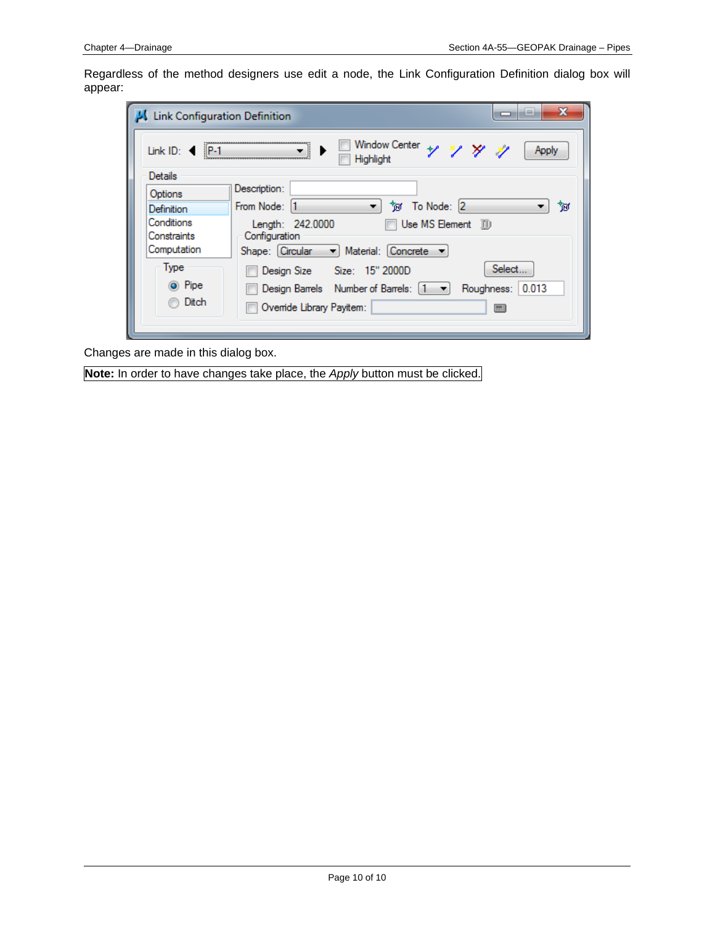Regardless of the method designers use edit a node, the Link Configuration Definition dialog box will appear:

| <b>Link Configuration Definition</b> | x<br>--                                                     |
|--------------------------------------|-------------------------------------------------------------|
| Link ID: $\triangleleft$   P-1       | Window Center + * / * /<br>Apply<br>Highlight               |
| Details                              |                                                             |
| Options                              | Description:                                                |
| Definition                           | To Node: 2<br>From Node: 11<br>ੈਂਕ<br>▼.<br>৳অ              |
| Conditions<br>Constraints            | Length: 242.0000<br>Use MS Element (1)<br>Configuration     |
| Computation                          | Shape: Circular - Material: Concrete -                      |
| Type                                 | Select<br>Design Size Size: 15" 2000D                       |
| ◎ Pipe                               | Design Barrels Number of Barrels: [1       Roughness: 0.013 |
| Ditch                                | Override Library Payitem:<br>⊟                              |

Changes are made in this dialog box.

**Note:** In order to have changes take place, the *Apply* button must be clicked.